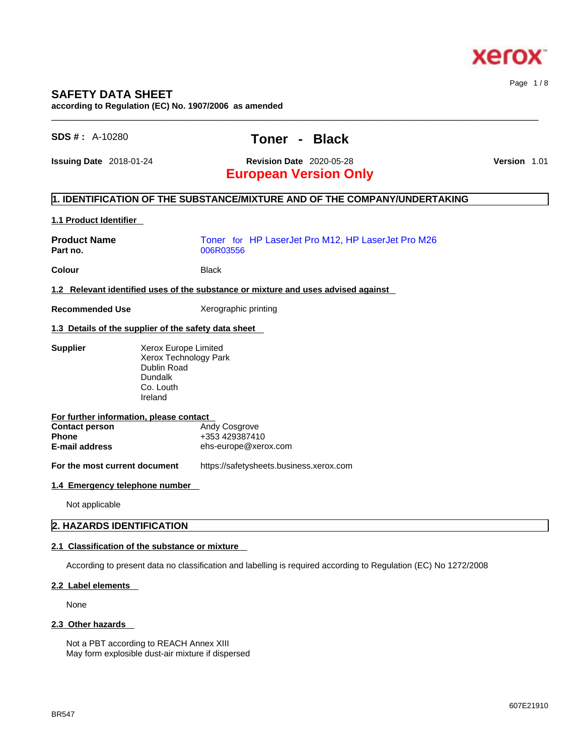

### **SAFETY DATA SHEET**

**according to Regulation (EC) No. 1907/2006 as amended** 

### **SDS # :** A-10280 **Toner - Black**

 $\_$  ,  $\_$  ,  $\_$  ,  $\_$  ,  $\_$  ,  $\_$  ,  $\_$  ,  $\_$  ,  $\_$  ,  $\_$  ,  $\_$  ,  $\_$  ,  $\_$  ,  $\_$  ,  $\_$  ,  $\_$  ,  $\_$  ,  $\_$  ,  $\_$  ,  $\_$  ,  $\_$  ,  $\_$  ,  $\_$  ,  $\_$  ,  $\_$  ,  $\_$  ,  $\_$  ,  $\_$  ,  $\_$  ,  $\_$  ,  $\_$  ,  $\_$  ,  $\_$  ,  $\_$  ,  $\_$  ,  $\_$  ,  $\_$  ,

**Issuing Date** 2018-01-24 **Revision Date** 2020-05-28 **Version** 1.01

Page 1 / 8

## **European Version Only**

#### **1. IDENTIFICATION OF THE SUBSTANCE/MIXTURE AND OF THE COMPANY/UNDERTAKING**

#### **1.1 Product Identifier**

| <b>Product Name</b><br>Part no.                                                                           |                                                                                                 | Toner for HP LaserJet Pro M12, HP LaserJet Pro M26<br>006R03556                   |
|-----------------------------------------------------------------------------------------------------------|-------------------------------------------------------------------------------------------------|-----------------------------------------------------------------------------------|
| Colour                                                                                                    |                                                                                                 | <b>Black</b>                                                                      |
|                                                                                                           |                                                                                                 | 1.2 Relevant identified uses of the substance or mixture and uses advised against |
| <b>Recommended Use</b>                                                                                    |                                                                                                 | Xerographic printing                                                              |
| 1.3 Details of the supplier of the safety data sheet                                                      |                                                                                                 |                                                                                   |
| <b>Supplier</b>                                                                                           | Xerox Europe Limited<br>Xerox Technology Park<br>Dublin Road<br>Dundalk<br>Co. Louth<br>Ireland |                                                                                   |
| For further information, please contact<br><b>Contact person</b><br><b>Phone</b><br><b>E-mail address</b> |                                                                                                 | Andy Cosgrove<br>+353 429387410<br>ehs-europe@xerox.com                           |
| For the most current document                                                                             |                                                                                                 | https://safetysheets.business.xerox.com                                           |
| 1.4 Emergency telephone number                                                                            |                                                                                                 |                                                                                   |
| Not applicable                                                                                            |                                                                                                 |                                                                                   |

#### **2. HAZARDS IDENTIFICATION**

#### **2.1 Classification of the substance or mixture**

According to present data no classification and labelling is required according to Regulation (EC) No 1272/2008

#### **2.2 Label elements**

None

#### **2.3 Other hazards**

Not a PBT according to REACH Annex XIII May form explosible dust-air mixture if dispersed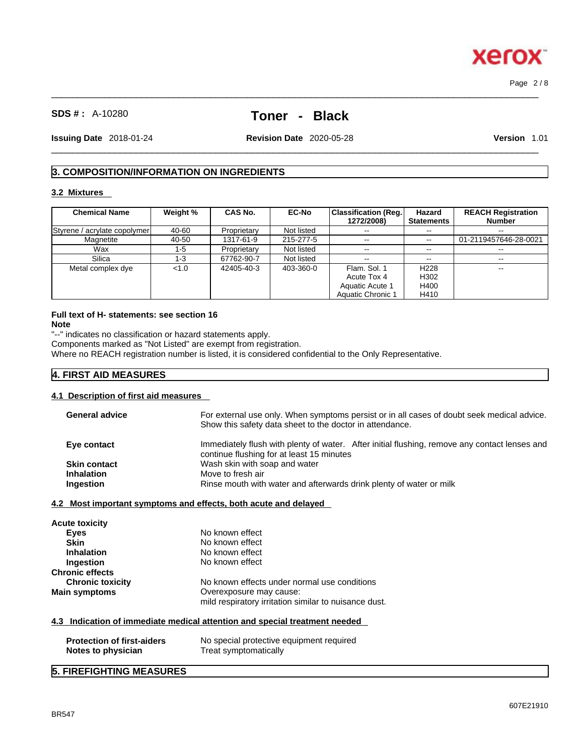## **SDS # :** A-10280 **Toner - Black**

 $\_$  ,  $\_$  ,  $\_$  ,  $\_$  ,  $\_$  ,  $\_$  ,  $\_$  ,  $\_$  ,  $\_$  ,  $\_$  ,  $\_$  ,  $\_$  ,  $\_$  ,  $\_$  ,  $\_$  ,  $\_$  ,  $\_$  ,  $\_$  ,  $\_$  ,  $\_$  ,  $\_$  ,  $\_$  ,  $\_$  ,  $\_$  ,  $\_$  ,  $\_$  ,  $\_$  ,  $\_$  ,  $\_$  ,  $\_$  ,  $\_$  ,  $\_$  ,  $\_$  ,  $\_$  ,  $\_$  ,  $\_$  ,  $\_$  ,

**Issuing Date** 2018-01-24 **Revision Date** 2020-05-28 **Version** 1.01

 $\_$  ,  $\_$  ,  $\_$  ,  $\_$  ,  $\_$  ,  $\_$  ,  $\_$  ,  $\_$  ,  $\_$  ,  $\_$  ,  $\_$  ,  $\_$  ,  $\_$  ,  $\_$  ,  $\_$  ,  $\_$  ,  $\_$  ,  $\_$  ,  $\_$  ,  $\_$  ,  $\_$  ,  $\_$  ,  $\_$  ,  $\_$  ,  $\_$  ,  $\_$  ,  $\_$  ,  $\_$  ,  $\_$  ,  $\_$  ,  $\_$  ,  $\_$  ,  $\_$  ,  $\_$  ,  $\_$  ,  $\_$  ,  $\_$  ,

Page 2 / 8

### **3. COMPOSITION/INFORMATION ON INGREDIENTS**

#### **3.2 Mixtures**

| <b>Chemical Name</b>         | Weight % | <b>CAS No.</b> | <b>EC-No</b> | Classification (Req.)<br>1272/2008) | Hazard<br><b>Statements</b> | <b>REACH Registration</b><br><b>Number</b> |
|------------------------------|----------|----------------|--------------|-------------------------------------|-----------------------------|--------------------------------------------|
| Styrene / acrylate copolymer | 40-60    | Proprietary    | Not listed   | $\sim$ $\sim$                       | --                          |                                            |
| Magnetite                    | 40-50    | 1317-61-9      | 215-277-5    | $\sim$ $\sim$                       | $\sim$ $\sim$               | 01-2119457646-28-0021                      |
| Wax                          | 1-5      | Proprietary    | Not listed   | $- -$                               | $- -$                       |                                            |
| Silica                       | 1-3      | 67762-90-7     | Not listed   | $\sim$ $\sim$                       | --                          | $- -$                                      |
| Metal complex dye            | < 1.0    | 42405-40-3     | 403-360-0    | Flam, Sol. 1                        | H <sub>228</sub>            | $-$                                        |
|                              |          |                |              | Acute Tox 4                         | H302                        |                                            |
|                              |          |                |              | Aquatic Acute 1                     | H400                        |                                            |
|                              |          |                |              | <b>Aquatic Chronic 1</b>            | H410                        |                                            |

## **Full text of H- statements: see section 16**

**Note**

"--" indicates no classification or hazard statements apply.

Components marked as "Not Listed" are exempt from registration.

Where no REACH registration number is listed, it is considered confidential to the Only Representative.

#### **4. FIRST AID MEASURES**

#### **4.1 Description of first aid measures**

| Eye contact<br><b>Skin contact</b>                      | Immediately flush with plenty of water. After initial flushing, remove any contact lenses and<br>continue flushing for at least 15 minutes |
|---------------------------------------------------------|--------------------------------------------------------------------------------------------------------------------------------------------|
| <b>Inhalation</b>                                       | Wash skin with soap and water<br>Move to fresh air                                                                                         |
| Ingestion                                               | Rinse mouth with water and afterwards drink plenty of water or milk                                                                        |
|                                                         | 4.2 Most important symptoms and effects, both acute and delayed                                                                            |
| Acute toxicity                                          |                                                                                                                                            |
| <b>Eyes</b>                                             | No known effect                                                                                                                            |
| <b>Skin</b>                                             | No known effect                                                                                                                            |
| <b>Inhalation</b>                                       | No known effect                                                                                                                            |
| Ingestion                                               | No known effect                                                                                                                            |
| <b>Chronic effects</b>                                  |                                                                                                                                            |
| <b>Chronic toxicity</b>                                 | No known effects under normal use conditions                                                                                               |
| <b>Main symptoms</b>                                    | Overexposure may cause:                                                                                                                    |
|                                                         | mild respiratory irritation similar to nuisance dust.                                                                                      |
|                                                         | 4.3 Indication of immediate medical attention and special treatment needed                                                                 |
| <b>Protection of first-aiders</b><br>Notes to physician | No special protective equipment required<br>Treat symptomatically                                                                          |

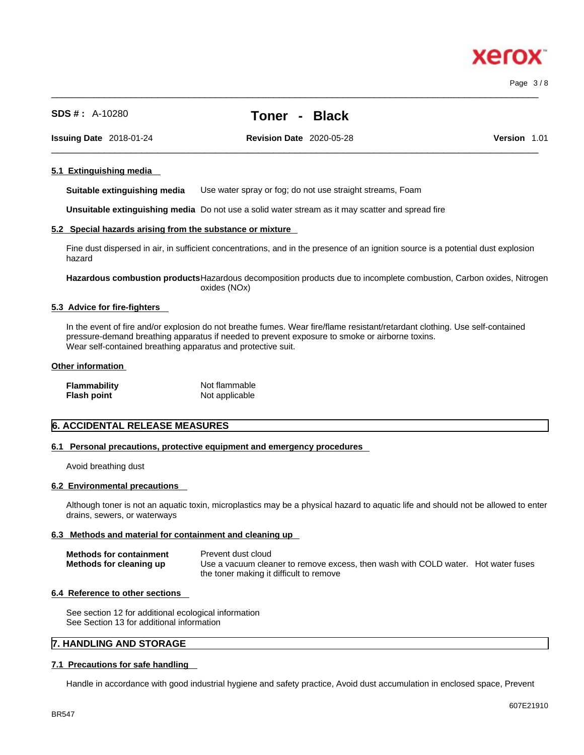607E21910

BR547

#### **SDS # :** A-10280 **Toner - Black**

 $\_$  ,  $\_$  ,  $\_$  ,  $\_$  ,  $\_$  ,  $\_$  ,  $\_$  ,  $\_$  ,  $\_$  ,  $\_$  ,  $\_$  ,  $\_$  ,  $\_$  ,  $\_$  ,  $\_$  ,  $\_$  ,  $\_$  ,  $\_$  ,  $\_$  ,  $\_$  ,  $\_$  ,  $\_$  ,  $\_$  ,  $\_$  ,  $\_$  ,  $\_$  ,  $\_$  ,  $\_$  ,  $\_$  ,  $\_$  ,  $\_$  ,  $\_$  ,  $\_$  ,  $\_$  ,  $\_$  ,  $\_$  ,  $\_$  ,

 $\_$  ,  $\_$  ,  $\_$  ,  $\_$  ,  $\_$  ,  $\_$  ,  $\_$  ,  $\_$  ,  $\_$  ,  $\_$  ,  $\_$  ,  $\_$  ,  $\_$  ,  $\_$  ,  $\_$  ,  $\_$  ,  $\_$  ,  $\_$  ,  $\_$  ,  $\_$  ,  $\_$  ,  $\_$  ,  $\_$  ,  $\_$  ,  $\_$  ,  $\_$  ,  $\_$  ,  $\_$  ,  $\_$  ,  $\_$  ,  $\_$  ,  $\_$  ,  $\_$  ,  $\_$  ,  $\_$  ,  $\_$  ,  $\_$  , **Issuing Date** 2018-01-24 **Revision Date** 2020-05-28 **Version** 1.01

## **5.1 Extinguishing media**

**Suitable extinguishing media** Use water spray or fog; do not use straight streams, Foam

**Unsuitable extinguishing media** Do not use a solid water stream as it may scatterand spread fire

#### **5.2 Special hazards arising from the substance or mixture**

Fine dust dispersed in air, in sufficient concentrations, and in the presence of an ignition source is a potential dust explosion hazard

**Hazardous combustion products**Hazardous decomposition products due to incomplete combustion, Carbon oxides, Nitrogen oxides (NOx)

#### **5.3 Advice for fire-fighters**

In the event of fire and/or explosion do not breathe fumes. Wear fire/flame resistant/retardant clothing. Use self-contained pressure-demand breathing apparatus if needed to prevent exposure to smoke or airborne toxins. Wear self-contained breathing apparatus and protective suit.

#### **Other information**

| <b>Flammability</b> | Not flammable  |
|---------------------|----------------|
| <b>Flash point</b>  | Not applicable |

#### **6. ACCIDENTAL RELEASE MEASURES**

#### **6.1 Personal precautions, protective equipment and emergency procedures**

Avoid breathing dust

#### **6.2 Environmental precautions**

Although toner is not an aquatic toxin, microplastics may be a physical hazard to aquatic life and should not be allowed to enter drains, sewers, or waterways

#### **6.3 Methods and material for containment and cleaning up**

| <b>Methods for containment</b> | Prevent dust cloud                                                                |
|--------------------------------|-----------------------------------------------------------------------------------|
| Methods for cleaning up        | Use a vacuum cleaner to remove excess, then wash with COLD water. Hot water fuses |
|                                | the toner making it difficult to remove                                           |

#### **6.4 Reference to other sections**

See section 12 for additional ecological information See Section 13 for additional information

#### **7. HANDLING AND STORAGE**

#### **7.1 Precautions for safe handling**

Handle in accordance with good industrial hygiene and safety practice, Avoid dust accumulation in enclosed space, Prevent



Page 3 / 8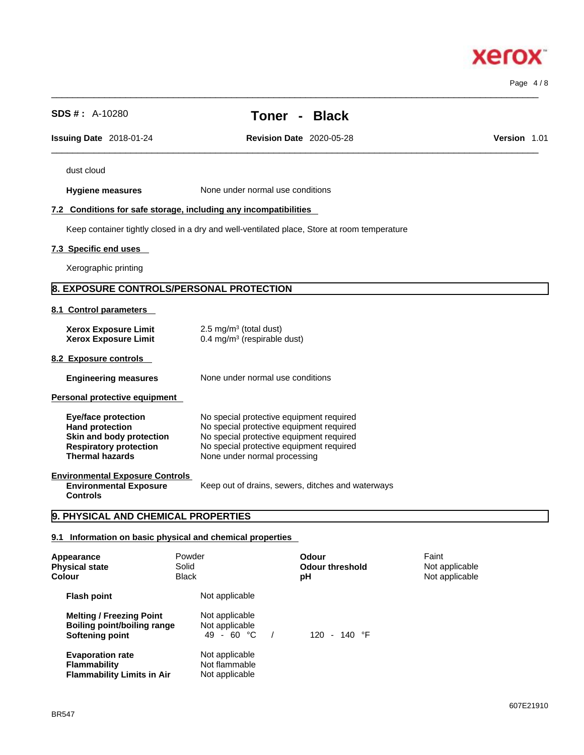**Hygiene measures** None under normal use conditions **7.2 Conditions for safe storage, including any incompatibilities** Keep container tightly closed in a dry and well-ventilated place, Store at room temperature **7.3 Specific end uses**  Xerographic printing **8. EXPOSURE CONTROLS/PERSONAL PROTECTION 8.1 Control parameters Xerox Exposure Limit**  $2.5 \text{ mg/m}^3$  (total dust) **Xerox Exposure Limit** 0.4 mg/m<sup>3</sup> (respirable dust) **8.2 Exposure controls Engineering measures** None under normal use conditions **Personal protective equipment Eye/face protection**<br> **Hand protection**<br>
No special protective equipment required **Hand protection No special protective equipment required**<br>**Skin and body protection No special protective equipment required Skin and body protection** No special protective equipment required<br> **Respiratory protection** No special protective equipment required **Respiratory protection** No special protective equipment required<br> **Thermal hazards** None under normal processing **Thermal hazards** None under normal processing **Environmental Exposure Controls Environmental Exposure Controls**  Keep out of drains, sewers, ditches and waterways **9. PHYSICAL AND CHEMICAL PROPERTIES 9.1 Information on basic physical and chemical properties Appearance Powder Beam Appearance Faint** 

 $\_$  ,  $\_$  ,  $\_$  ,  $\_$  ,  $\_$  ,  $\_$  ,  $\_$  ,  $\_$  ,  $\_$  ,  $\_$  ,  $\_$  ,  $\_$  ,  $\_$  ,  $\_$  ,  $\_$  ,  $\_$  ,  $\_$  ,  $\_$  ,  $\_$  ,  $\_$  ,  $\_$  ,  $\_$  ,  $\_$  ,  $\_$  ,  $\_$  ,  $\_$  ,  $\_$  ,  $\_$  ,  $\_$  ,  $\_$  ,  $\_$  ,  $\_$  ,  $\_$  ,  $\_$  ,  $\_$  ,  $\_$  ,  $\_$  , **Issuing Date** 2018-01-24 **Revision Date** 2020-05-28 **Version** 1.01

dust cloud

**SDS # :** A-10280 **Toner - Black**

 $\_$  ,  $\_$  ,  $\_$  ,  $\_$  ,  $\_$  ,  $\_$  ,  $\_$  ,  $\_$  ,  $\_$  ,  $\_$  ,  $\_$  ,  $\_$  ,  $\_$  ,  $\_$  ,  $\_$  ,  $\_$  ,  $\_$  ,  $\_$  ,  $\_$  ,  $\_$  ,  $\_$  ,  $\_$  ,  $\_$  ,  $\_$  ,  $\_$  ,  $\_$  ,  $\_$  ,  $\_$  ,  $\_$  ,  $\_$  ,  $\_$  ,  $\_$  ,  $\_$  ,  $\_$  ,  $\_$  ,  $\_$  ,  $\_$  ,

Page 4 / 8

## xero

| <b>Physical state</b><br><b>Colour</b>                                              | Solid<br><b>Black</b>                             | <b>Odour threshold</b><br>рH | Not applicable<br>Not applicable |
|-------------------------------------------------------------------------------------|---------------------------------------------------|------------------------------|----------------------------------|
| <b>Flash point</b>                                                                  | Not applicable                                    |                              |                                  |
| <b>Melting / Freezing Point</b><br>Boiling point/boiling range<br>Softening point   | Not applicable<br>Not applicable<br>$49 - 60 °C$  | $-140 °F$<br>120             |                                  |
| <b>Evaporation rate</b><br><b>Flammability</b><br><b>Flammability Limits in Air</b> | Not applicable<br>Not flammable<br>Not applicable |                              |                                  |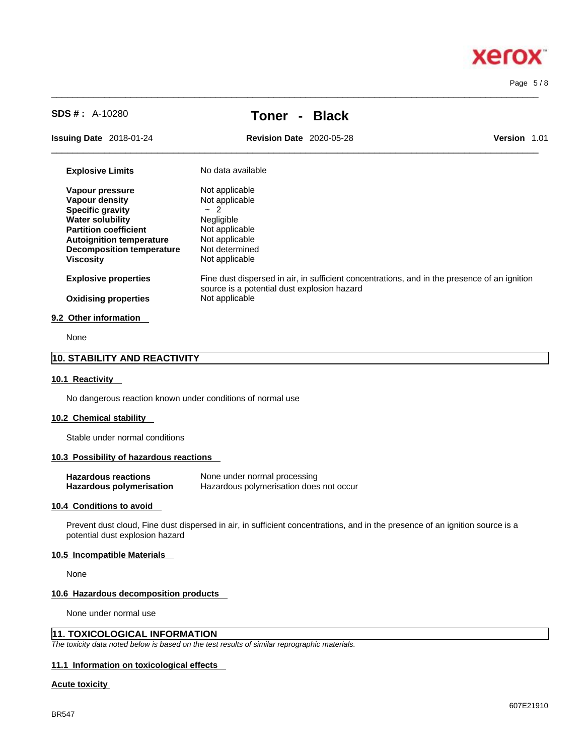# **Xerox**

Page 5 / 8

**SDS # :** A-10280 **Toner - Black**

 $\_$  ,  $\_$  ,  $\_$  ,  $\_$  ,  $\_$  ,  $\_$  ,  $\_$  ,  $\_$  ,  $\_$  ,  $\_$  ,  $\_$  ,  $\_$  ,  $\_$  ,  $\_$  ,  $\_$  ,  $\_$  ,  $\_$  ,  $\_$  ,  $\_$  ,  $\_$  ,  $\_$  ,  $\_$  ,  $\_$  ,  $\_$  ,  $\_$  ,  $\_$  ,  $\_$  ,  $\_$  ,  $\_$  ,  $\_$  ,  $\_$  ,  $\_$  ,  $\_$  ,  $\_$  ,  $\_$  ,  $\_$  ,  $\_$  ,

**Issuing Date** 2018-01-24 **Revision Date** 2020-05-28 **Version** 1.01

 $\_$  ,  $\_$  ,  $\_$  ,  $\_$  ,  $\_$  ,  $\_$  ,  $\_$  ,  $\_$  ,  $\_$  ,  $\_$  ,  $\_$  ,  $\_$  ,  $\_$  ,  $\_$  ,  $\_$  ,  $\_$  ,  $\_$  ,  $\_$  ,  $\_$  ,  $\_$  ,  $\_$  ,  $\_$  ,  $\_$  ,  $\_$  ,  $\_$  ,  $\_$  ,  $\_$  ,  $\_$  ,  $\_$  ,  $\_$  ,  $\_$  ,  $\_$  ,  $\_$  ,  $\_$  ,  $\_$  ,  $\_$  ,  $\_$  ,

| <b>Explosive Limits</b>                                                       | No data available                                                                                                                           |
|-------------------------------------------------------------------------------|---------------------------------------------------------------------------------------------------------------------------------------------|
| Vapour pressure                                                               | Not applicable                                                                                                                              |
| Vapour density                                                                | Not applicable                                                                                                                              |
| <b>Specific gravity</b>                                                       | $-2$                                                                                                                                        |
| <b>Water solubility</b>                                                       | Negligible                                                                                                                                  |
| <b>Partition coefficient</b>                                                  | Not applicable                                                                                                                              |
| <b>Autoignition temperature</b>                                               | Not applicable                                                                                                                              |
| <b>Decomposition temperature</b>                                              | Not determined                                                                                                                              |
| <b>Viscosity</b>                                                              | Not applicable                                                                                                                              |
| <b>Explosive properties</b>                                                   | Fine dust dispersed in air, in sufficient concentrations, and in the presence of an ignition<br>source is a potential dust explosion hazard |
| <b>Oxidising properties</b>                                                   | Not applicable                                                                                                                              |
| 9.2 Other information                                                         |                                                                                                                                             |
| $\mathbf{A}$ $\mathbf{B}$ $\mathbf{A}$ $\mathbf{B}$ $\mathbf{A}$ $\mathbf{B}$ |                                                                                                                                             |

None

#### **10. STABILITY AND REACTIVITY**

#### **10.1 Reactivity**

No dangerous reaction known under conditions of normal use

#### **10.2 Chemical stability**

Stable under normal conditions

#### **10.3 Possibility of hazardous reactions**

| <b>Hazardous reactions</b>      | None under normal processing            |
|---------------------------------|-----------------------------------------|
| <b>Hazardous polymerisation</b> | Hazardous polymerisation does not occur |

#### **10.4 Conditions to avoid**

Prevent dust cloud, Fine dust dispersed in air, in sufficient concentrations, and in the presence of an ignition source is a potential dust explosion hazard

#### **10.5 Incompatible Materials**

None

#### **10.6 Hazardous decomposition products**

None under normal use

#### **11. TOXICOLOGICAL INFORMATION**

*The toxicity data noted below is based on the test results of similar reprographic materials.* 

#### **11.1 Information on toxicological effects**

#### **Acute toxicity**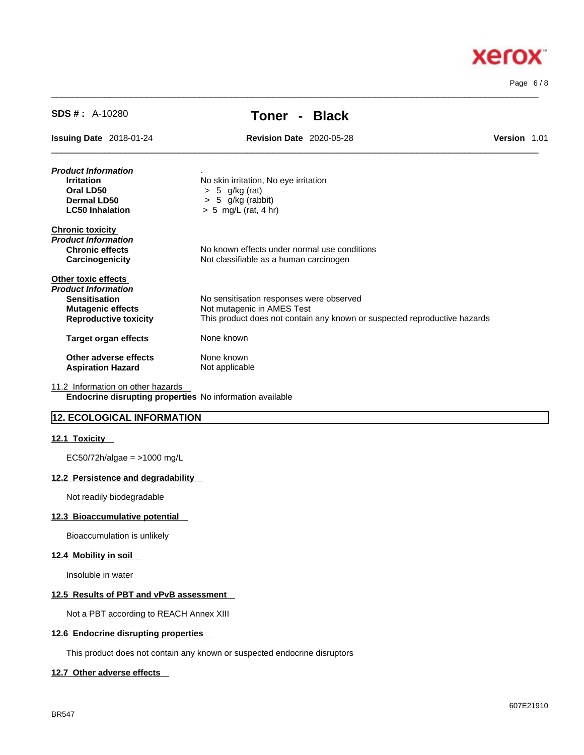

Page 6 / 8

| $SDS #: A-10280$                                         | - Black<br>Toner                                                          |              |  |
|----------------------------------------------------------|---------------------------------------------------------------------------|--------------|--|
| <b>Issuing Date 2018-01-24</b>                           | <b>Revision Date 2020-05-28</b>                                           | Version 1.01 |  |
| Product Information                                      |                                                                           |              |  |
| <b>Irritation</b>                                        | No skin irritation, No eye irritation                                     |              |  |
| Oral LD50                                                | $> 5$ g/kg (rat)                                                          |              |  |
| Dermal LD50                                              | $> 5$ g/kg (rabbit)                                                       |              |  |
| <b>LC50 Inhalation</b>                                   | $> 5$ mg/L (rat, 4 hr)                                                    |              |  |
| <b>Chronic toxicity</b>                                  |                                                                           |              |  |
| Product Information                                      |                                                                           |              |  |
| <b>Chronic effects</b>                                   | No known effects under normal use conditions                              |              |  |
| Carcinogenicity                                          | Not classifiable as a human carcinogen                                    |              |  |
| Other toxic effects                                      |                                                                           |              |  |
| Product Information                                      |                                                                           |              |  |
| <b>Sensitisation</b>                                     | No sensitisation responses were observed                                  |              |  |
| <b>Mutagenic effects</b>                                 | Not mutagenic in AMES Test                                                |              |  |
| <b>Reproductive toxicity</b>                             | This product does not contain any known or suspected reproductive hazards |              |  |
| <b>Target organ effects</b>                              | None known                                                                |              |  |
| Other adverse effects                                    | None known                                                                |              |  |
| <b>Aspiration Hazard</b>                                 | Not applicable                                                            |              |  |
| 11.2 Information on other hazards                        |                                                                           |              |  |
| Endocrine disrupting properties No information available |                                                                           |              |  |

 $\_$  ,  $\_$  ,  $\_$  ,  $\_$  ,  $\_$  ,  $\_$  ,  $\_$  ,  $\_$  ,  $\_$  ,  $\_$  ,  $\_$  ,  $\_$  ,  $\_$  ,  $\_$  ,  $\_$  ,  $\_$  ,  $\_$  ,  $\_$  ,  $\_$  ,  $\_$  ,  $\_$  ,  $\_$  ,  $\_$  ,  $\_$  ,  $\_$  ,  $\_$  ,  $\_$  ,  $\_$  ,  $\_$  ,  $\_$  ,  $\_$  ,  $\_$  ,  $\_$  ,  $\_$  ,  $\_$  ,  $\_$  ,  $\_$  ,

#### **12. ECOLOGICAL INFORMATION**

#### **12.1 Toxicity**

EC50/72h/algae = >1000 mg/L

#### **12.2 Persistence and degradability**

Not readily biodegradable

#### **12.3 Bioaccumulative potential**

Bioaccumulation is unlikely

#### **12.4 Mobility in soil**

Insoluble in water

#### **12.5 Results of PBT and vPvB assessment**

Not a PBT according to REACH Annex XIII

#### **12.6 Endocrine disrupting properties**

This product does not contain any known or suspected endocrine disruptors

#### **12.7 Other adverse effects**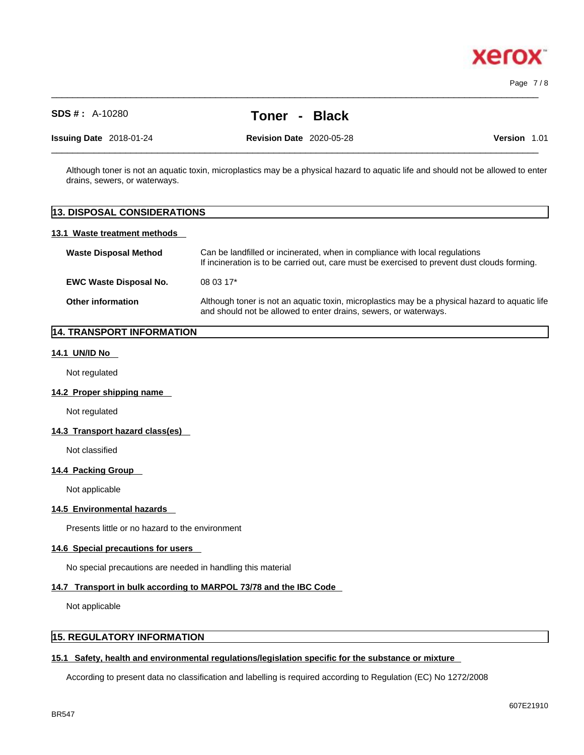

Page 7 / 8

### **SDS # :** A-10280 **Toner - Black**

 $\_$  ,  $\_$  ,  $\_$  ,  $\_$  ,  $\_$  ,  $\_$  ,  $\_$  ,  $\_$  ,  $\_$  ,  $\_$  ,  $\_$  ,  $\_$  ,  $\_$  ,  $\_$  ,  $\_$  ,  $\_$  ,  $\_$  ,  $\_$  ,  $\_$  ,  $\_$  ,  $\_$  ,  $\_$  ,  $\_$  ,  $\_$  ,  $\_$  ,  $\_$  ,  $\_$  ,  $\_$  ,  $\_$  ,  $\_$  ,  $\_$  ,  $\_$  ,  $\_$  ,  $\_$  ,  $\_$  ,  $\_$  ,  $\_$  ,

**Issuing Date** 2018-01-24 **Revision Date** 2020-05-28 **Version** 1.01

 $\_$  ,  $\_$  ,  $\_$  ,  $\_$  ,  $\_$  ,  $\_$  ,  $\_$  ,  $\_$  ,  $\_$  ,  $\_$  ,  $\_$  ,  $\_$  ,  $\_$  ,  $\_$  ,  $\_$  ,  $\_$  ,  $\_$  ,  $\_$  ,  $\_$  ,  $\_$  ,  $\_$  ,  $\_$  ,  $\_$  ,  $\_$  ,  $\_$  ,  $\_$  ,  $\_$  ,  $\_$  ,  $\_$  ,  $\_$  ,  $\_$  ,  $\_$  ,  $\_$  ,  $\_$  ,  $\_$  ,  $\_$  ,  $\_$  ,

Although toner is not an aquatic toxin, microplastics may be a physical hazard to aquatic life and should not be allowed to enter drains, sewers, or waterways.

## **13. DISPOSAL CONSIDERATIONS 13.1 Waste treatment methods Waste Disposal Method** Can be landfilled or incinerated, when in compliance with local regulations If incineration is to be carried out, care must be exercised to prevent dust clouds forming. **EWC Waste Disposal No.** 08 03 17\* **Other information** Although toner is not an aquatic toxin, microplastics may be a physical hazard to aquatic life and should not be allowed to enter drains, sewers, or waterways.

#### **14. TRANSPORT INFORMATION**

#### **14.1 UN/ID No**

Not regulated

#### **14.2 Proper shipping name**

Not regulated

#### **14.3 Transport hazard class(es)**

Not classified

#### **14.4 Packing Group**

Not applicable

#### **14.5 Environmental hazards**

Presents little or no hazard to the environment

#### **14.6 Special precautions for users**

No special precautions are needed in handling this material

#### **14.7 Transport in bulk according to MARPOL 73/78 and the IBC Code**

Not applicable

#### **15. REGULATORY INFORMATION**

#### **15.1 Safety, health and environmental regulations/legislation specific for the substance or mixture**

According to present data no classification and labelling is required according to Regulation (EC) No 1272/2008